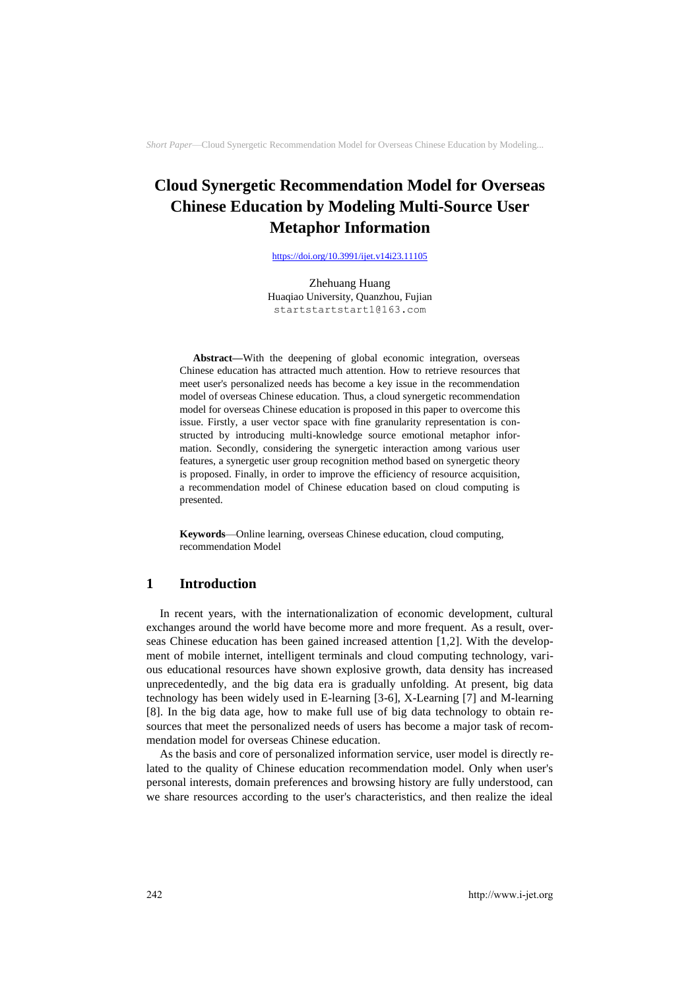# **Cloud Synergetic Recommendation Model for Overseas Chinese Education by Modeling Multi-Source User Metaphor Information**

<https://doi.org/10.3991/ijet.v14i23.11105>

Zhehuang Huang Huaqiao University, Quanzhou, Fujian startstartstart1@163.com

**Abstract—**With the deepening of global economic integration, overseas Chinese education has attracted much attention. How to retrieve resources that meet user's personalized needs has become a key issue in the recommendation model of overseas Chinese education. Thus, a cloud synergetic recommendation model for overseas Chinese education is proposed in this paper to overcome this issue. Firstly, a user vector space with fine granularity representation is constructed by introducing multi-knowledge source emotional metaphor information. Secondly, considering the synergetic interaction among various user features, a synergetic user group recognition method based on synergetic theory is proposed. Finally, in order to improve the efficiency of resource acquisition, a recommendation model of Chinese education based on cloud computing is presented.

**Keywords**—Online learning, overseas Chinese education, cloud computing, recommendation Model

### **1 Introduction**

In recent years, with the internationalization of economic development, cultural exchanges around the world have become more and more frequent. As a result, overseas Chinese education has been gained increased attention [1,2]. With the development of mobile internet, intelligent terminals and cloud computing technology, various educational resources have shown explosive growth, data density has increased unprecedentedly, and the big data era is gradually unfolding. At present, big data technology has been widely used in E-learning [3-6], X-Learning [7] and M-learning [8]. In the big data age, how to make full use of big data technology to obtain resources that meet the personalized needs of users has become a major task of recommendation model for overseas Chinese education.

As the basis and core of personalized information service, user model is directly related to the quality of Chinese education recommendation model. Only when user's personal interests, domain preferences and browsing history are fully understood, can we share resources according to the user's characteristics, and then realize the ideal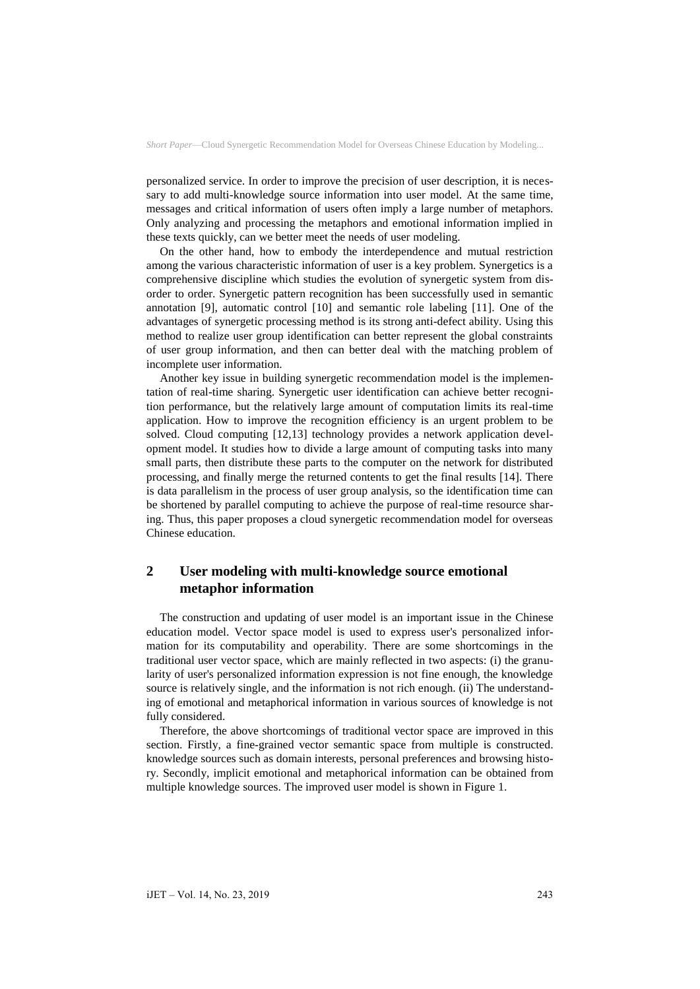personalized service. In order to improve the precision of user description, it is necessary to add multi-knowledge source information into user model. At the same time, messages and critical information of users often imply a large number of metaphors. Only analyzing and processing the metaphors and emotional information implied in these texts quickly, can we better meet the needs of user modeling.

On the other hand, how to embody the interdependence and mutual restriction among the various characteristic information of user is a key problem. Synergetics is a comprehensive discipline which studies the evolution of synergetic system from disorder to order. Synergetic pattern recognition has been successfully used in semantic annotation [9], automatic control [10] and semantic role labeling [11]. One of the advantages of synergetic processing method is its strong anti-defect ability. Using this method to realize user group identification can better represent the global constraints of user group information, and then can better deal with the matching problem of incomplete user information.

Another key issue in building synergetic recommendation model is the implementation of real-time sharing. Synergetic user identification can achieve better recognition performance, but the relatively large amount of computation limits its real-time application. How to improve the recognition efficiency is an urgent problem to be solved. Cloud computing [12,13] technology provides a network application development model. It studies how to divide a large amount of computing tasks into many small parts, then distribute these parts to the computer on the network for distributed processing, and finally merge the returned contents to get the final results [14]. There is data parallelism in the process of user group analysis, so the identification time can be shortened by parallel computing to achieve the purpose of real-time resource sharing. Thus, this paper proposes a cloud synergetic recommendation model for overseas Chinese education.

# **2 User modeling with multi-knowledge source emotional metaphor information**

The construction and updating of user model is an important issue in the Chinese education model. Vector space model is used to express user's personalized information for its computability and operability. There are some shortcomings in the traditional user vector space, which are mainly reflected in two aspects: (i) the granularity of user's personalized information expression is not fine enough, the knowledge source is relatively single, and the information is not rich enough. (ii) The understanding of emotional and metaphorical information in various sources of knowledge is not fully considered.

Therefore, the above shortcomings of traditional vector space are improved in this section. Firstly, a fine-grained vector semantic space from multiple is constructed. knowledge sources such as domain interests, personal preferences and browsing history. Secondly, implicit emotional and metaphorical information can be obtained from multiple knowledge sources. The improved user model is shown in Figure 1.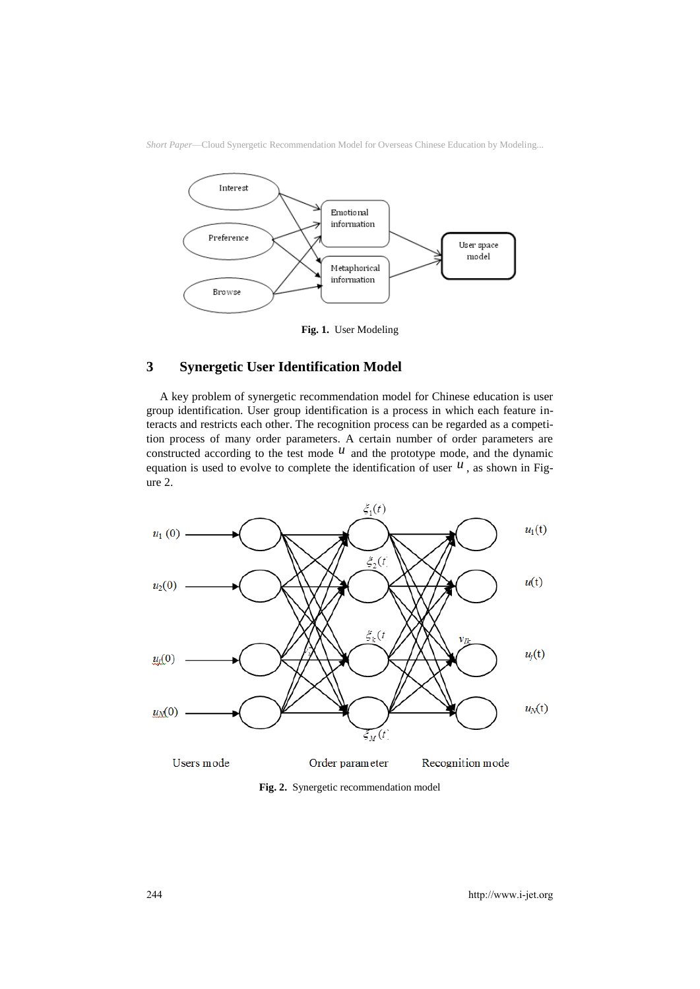



**Fig. 1.** User Modeling

### **3 Synergetic User Identification Model**

A key problem of synergetic recommendation model for Chinese education is user group identification. User group identification is a process in which each feature interacts and restricts each other. The recognition process can be regarded as a competition process of many order parameters. A certain number of order parameters are constructed according to the test mode  $u$  and the prototype mode, and the dynamic equation is used to evolve to complete the identification of user  $u$ , as shown in Figure 2.



**Fig. 2.** Synergetic recommendation model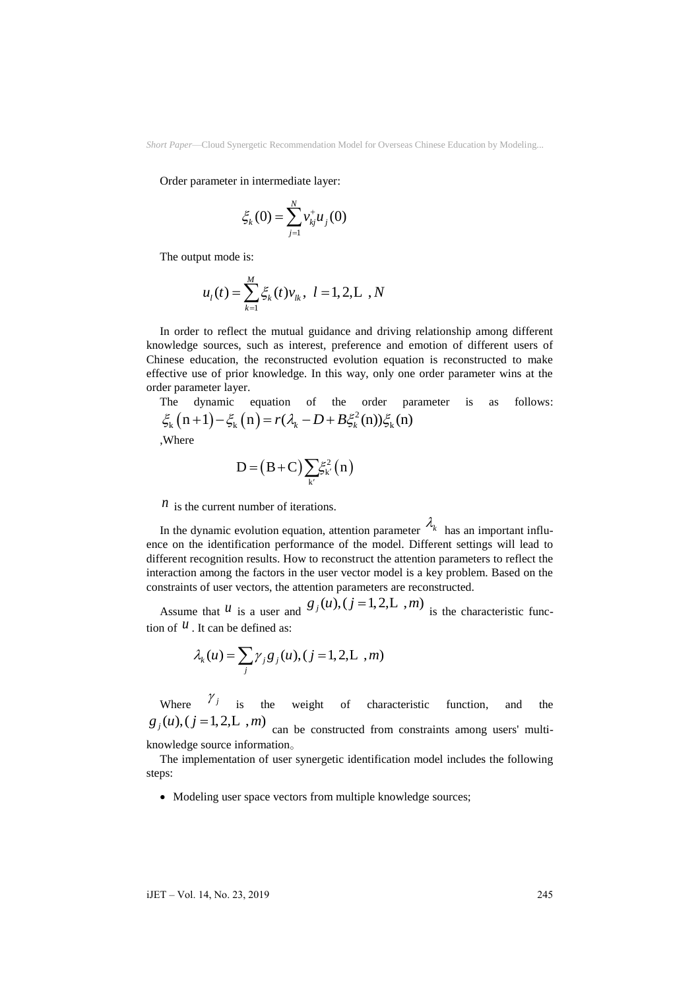Order parameter in intermediate layer:

$$
\xi_k(0) = \sum_{j=1}^N v_{kj}^+ u_j(0)
$$

The output mode is:

$$
u_{l}(t) = \sum_{k=1}^{M} \xi_{k}(t) v_{lk}, \ l = 1, 2, L, N
$$

In order to reflect the mutual guidance and driving relationship among different knowledge sources, such as interest, preference and emotion of different users of Chinese education, the reconstructed evolution equation is reconstructed to make effective use of prior knowledge. In this way, only one order parameter wins at the order parameter layer.

Here parameter layer.  
\nThe dynamic equation of the order parameter is as follows:  
\n
$$
\xi_{k}(n+1) - \xi_{k}(n) = r(\lambda_{k} - D + B\xi_{k}^{2}(n))\xi_{k}(n)
$$
\nwhere

$$
D = (B+C)\sum_{k'} \xi_{k'}^2(n)
$$

 $n$  is the current number of iterations.

In the dynamic evolution equation, attention parameter  $\lambda_k$  has an important influence on the identification performance of the model. Different settings will lead to different recognition results. How to reconstruct the attention parameters to reflect the interaction among the factors in the user vector model is a key problem. Based on the constraints of user vectors, the attention parameters are reconstructed.

Assume that  $u$  is a user and  $g_j(u)$ ,  $(j=1,2,L, m)$  is the characteristic function of  $^{\mathcal{U}}$ . It can be defined as:

$$
\lambda_k(u) = \sum_j \gamma_j g_j(u), (j = 1, 2, L, m)
$$

Where  $\gamma_j$  is the weight of characteristic function, and the  $g_j(u)$ ,  $(j = 1, 2, L, m)$  can be constructed from constraints among users' multiknowledge source information。

The implementation of user synergetic identification model includes the following steps:

• Modeling user space vectors from multiple knowledge sources;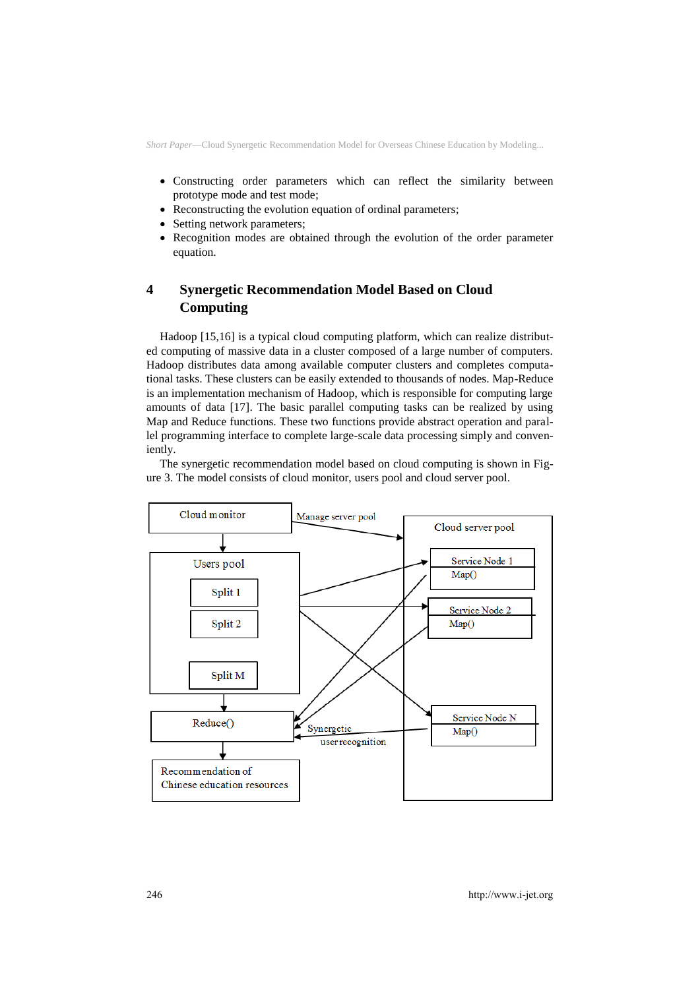- Constructing order parameters which can reflect the similarity between prototype mode and test mode;
- Reconstructing the evolution equation of ordinal parameters;
- Setting network parameters;
- Recognition modes are obtained through the evolution of the order parameter equation.

# **4 Synergetic Recommendation Model Based on Cloud Computing**

Hadoop [15,16] is a typical cloud computing platform, which can realize distributed computing of massive data in a cluster composed of a large number of computers. Hadoop distributes data among available computer clusters and completes computational tasks. These clusters can be easily extended to thousands of nodes. Map-Reduce is an implementation mechanism of Hadoop, which is responsible for computing large amounts of data [17]. The basic parallel computing tasks can be realized by using Map and Reduce functions. These two functions provide abstract operation and parallel programming interface to complete large-scale data processing simply and conveniently.

The synergetic recommendation model based on cloud computing is shown in Figure 3. The model consists of cloud monitor, users pool and cloud server pool.

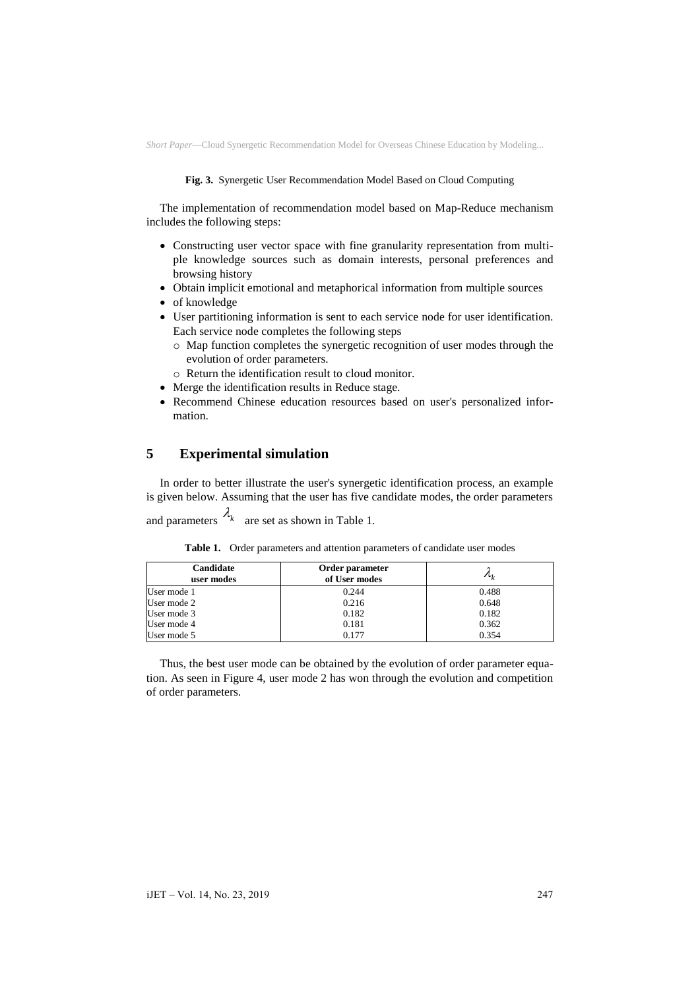#### **Fig. 3.** Synergetic User Recommendation Model Based on Cloud Computing

The implementation of recommendation model based on Map-Reduce mechanism includes the following steps:

- Constructing user vector space with fine granularity representation from multiple knowledge sources such as domain interests, personal preferences and browsing history
- Obtain implicit emotional and metaphorical information from multiple sources
- of knowledge

User mode 3 User mode 4 User mode 5

- User partitioning information is sent to each service node for user identification. Each service node completes the following steps
	- o Map function completes the synergetic recognition of user modes through the evolution of order parameters.
	- o Return the identification result to cloud monitor.
- Merge the identification results in Reduce stage.
- Recommend Chinese education resources based on user's personalized information.

### **5 Experimental simulation**

In order to better illustrate the user's synergetic identification process, an example is given below. Assuming that the user has five candidate modes, the order parameters

and parameters  $\lambda_k$  are set as shown in Table 1.

| Candidate<br>user modes | Order parameter<br>of User modes | $\overline{\phantom{a}}$ |
|-------------------------|----------------------------------|--------------------------|
| User mode 1             | 0.244                            | 0.488                    |
| User mode 2             | 0.216                            | 0.648                    |

0.182 0.181 0.177

| Table 1. Order parameters and attention parameters of candidate user modes |  |
|----------------------------------------------------------------------------|--|
|----------------------------------------------------------------------------|--|

Thus, the best user mode can be obtained by the evolution of order parameter equation. As seen in Figure 4, user mode 2 has won through the evolution and competition of order parameters.

0.182 0.362 0.354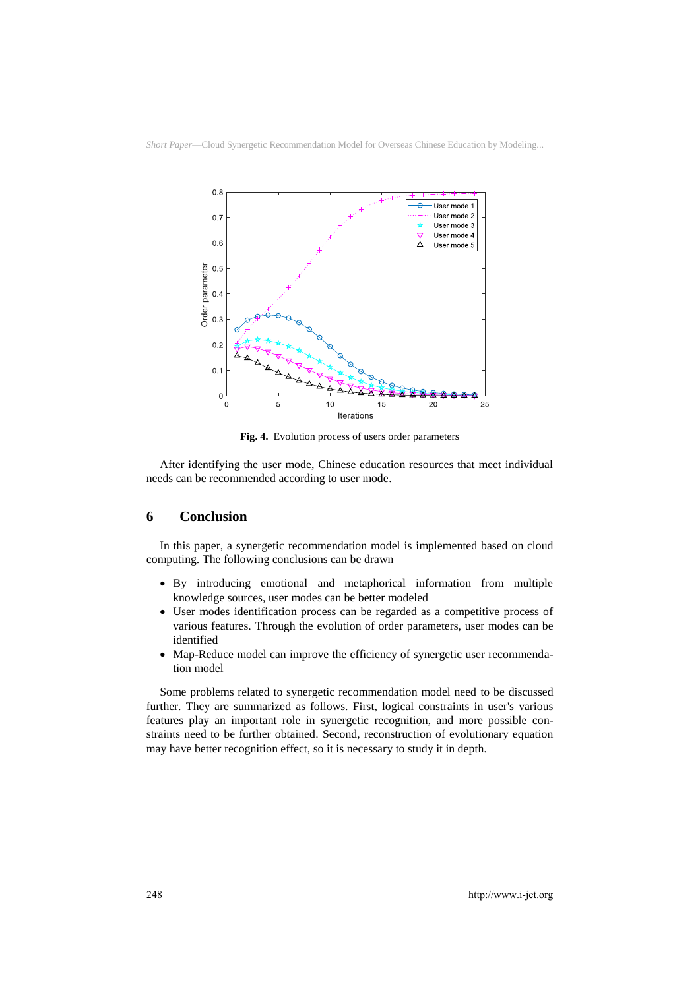

**Fig. 4.** Evolution process of users order parameters

After identifying the user mode, Chinese education resources that meet individual needs can be recommended according to user mode.

### **6 Conclusion**

In this paper, a synergetic recommendation model is implemented based on cloud computing. The following conclusions can be drawn

- By introducing emotional and metaphorical information from multiple knowledge sources, user modes can be better modeled
- User modes identification process can be regarded as a competitive process of various features. Through the evolution of order parameters, user modes can be identified
- Map-Reduce model can improve the efficiency of synergetic user recommendation model

Some problems related to synergetic recommendation model need to be discussed further. They are summarized as follows. First, logical constraints in user's various features play an important role in synergetic recognition, and more possible constraints need to be further obtained. Second, reconstruction of evolutionary equation may have better recognition effect, so it is necessary to study it in depth.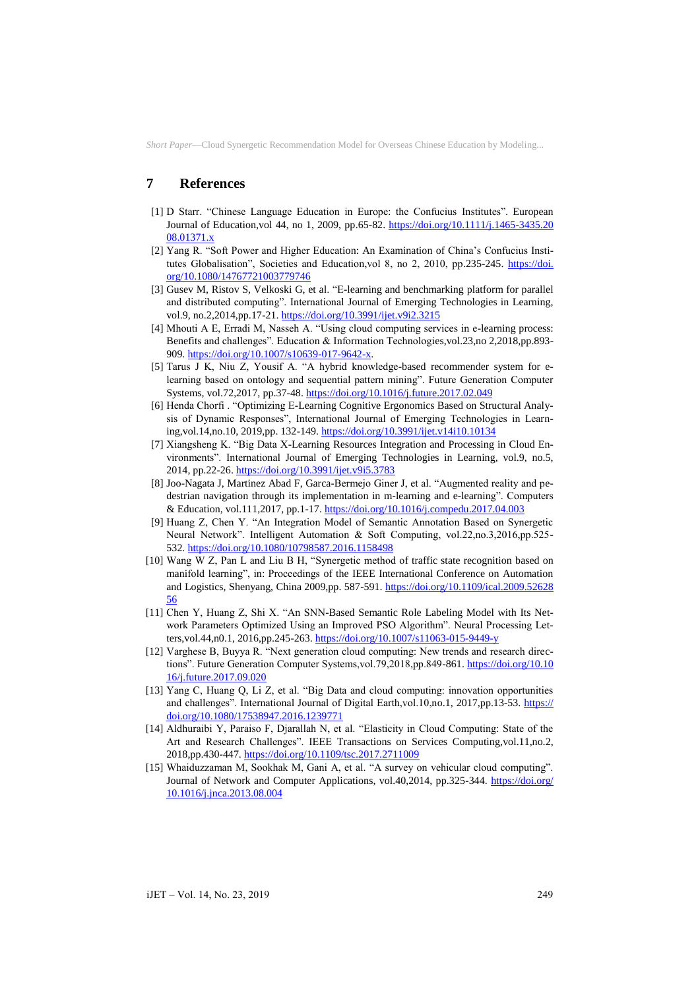## **7 References**

- [1] D Starr. "Chinese Language Education in Europe: the Confucius Institutes". European Journal of Education,vol 44, no 1, 2009, pp.65-82. [https://doi.org/10.1111/j.1465-3435.20](https://doi.org/10.1111/j.1465-3435.2008.01371.x)  [08.01371.x](https://doi.org/10.1111/j.1465-3435.2008.01371.x)
- [2] Yang R. "Soft Power and Higher Education: An Examination of China's Confucius Institutes Globalisation", Societies and Education,vol 8, no 2, 2010, pp.235-245. [https://doi.](https://doi.org/10.1080/14767721003779746)  [org/10.1080/14767721003779746](https://doi.org/10.1080/14767721003779746)
- [3] Gusev M, Ristov S, Velkoski G, et al. "E-learning and benchmarking platform for parallel and distributed computing". International Journal of Emerging Technologies in Learning, vol.9, no.2,2014,pp.17-21[. https://doi.org/10.3991/ijet.v9i2.3215](https://doi.org/10.3991/ijet.v9i2.3215)
- [4] Mhouti A E, Erradi M, Nasseh A. "Using cloud computing services in e-learning process: Benefits and challenges". Education & Information Technologies, vol. 23, no 2, 2018, pp.893-909[. https://doi.org/10.1007/s10639-017-9642-x.](https://doi.org/10.1007/s10639-017-9642-x)
- [5] Tarus J K, Niu Z, Yousif A. "A hybrid knowledge-based recommender system for elearning based on ontology and sequential pattern mining". Future Generation Computer Systems, vol.72,2017, pp.37-48[. https://doi.org/10.1016/j.future.2017.02.049](https://doi.org/10.1016/j.future.2017.02.049)
- [6] Henda Chorfi . "Optimizing E-Learning Cognitive Ergonomics Based on Structural Analysis of Dynamic Responses", International Journal of Emerging Technologies in Learning,vol.14,no.10, 2019,pp. 132-149[. https://doi.org/10.3991/ijet.v14i10.10134](https://doi.org/10.3991/ijet.v14i10.10134)
- [7] Xiangsheng K. "Big Data X-Learning Resources Integration and Processing in Cloud Environments". International Journal of Emerging Technologies in Learning, vol.9, no.5, 2014, pp.22-26.<https://doi.org/10.3991/ijet.v9i5.3783>
- [8] Joo-Nagata J, Martinez Abad F, Garca-Bermejo Giner J, et al. "Augmented reality and pedestrian navigation through its implementation in m-learning and e-learning". Computers & Education, vol.111,2017, pp.1-17.<https://doi.org/10.1016/j.compedu.2017.04.003>
- [9] Huang Z, Chen Y. "An Integration Model of Semantic Annotation Based on Synergetic Neural Network". Intelligent Automation & Soft Computing, vol.22,no.3,2016,pp.525- 532[. https://doi.org/10.1080/10798587.2016.1158498](https://doi.org/10.1080/10798587.2016.1158498)
- [10] Wang W Z, Pan L and Liu B H, "Synergetic method of traffic state recognition based on manifold learning", in: Proceedings of the IEEE International Conference on Automation and Logistics, Shenyang, China 2009,pp. 587-591. [https://doi.org/10.1109/ical.2009.52628](https://doi.org/10.1109/ical.2009.5262856)  [56](https://doi.org/10.1109/ical.2009.5262856)
- [11] Chen Y, Huang Z, Shi X. "An SNN-Based Semantic Role Labeling Model with Its Network Parameters Optimized Using an Improved PSO Algorithm". Neural Processing Letters,vol.44,n0.1, 2016,pp.245-263.<https://doi.org/10.1007/s11063-015-9449-y>
- [12] Varghese B, Buyya R. "Next generation cloud computing: New trends and research directions". Future Generation Computer Systems,vol.79,2018,pp.849-861[. https://doi.org/10.10](https://doi.org/10.1016/j.future.2017.09.020)  [16/j.future.2017.09.020](https://doi.org/10.1016/j.future.2017.09.020)
- [13] Yang C, Huang Q, Li Z, et al. "Big Data and cloud computing: innovation opportunities and challenges". International Journal of Digital Earth,vol.10,no.1, 2017,pp.13-53. [https://](https://doi.org/10.1080/17538947.2016.1239771)  [doi.org/10.1080/17538947.2016.1239771](https://doi.org/10.1080/17538947.2016.1239771)
- [14] Aldhuraibi Y, Paraiso F, Djarallah N, et al. "Elasticity in Cloud Computing: State of the Art and Research Challenges". IEEE Transactions on Services Computing,vol.11,no.2, 2018,pp.430-447[. https://doi.org/10.1109/tsc.2017.2711009](https://doi.org/10.1109/tsc.2017.2711009)
- [15] Whaiduzzaman M, Sookhak M, Gani A, et al. "A survey on vehicular cloud computing". Journal of Network and Computer Applications, vol.40,2014, pp.325-344. [https://doi.org/](https://doi.org/10.1016/j.jnca.2013.08.004)  [10.1016/j.jnca.2013.08.004](https://doi.org/10.1016/j.jnca.2013.08.004)